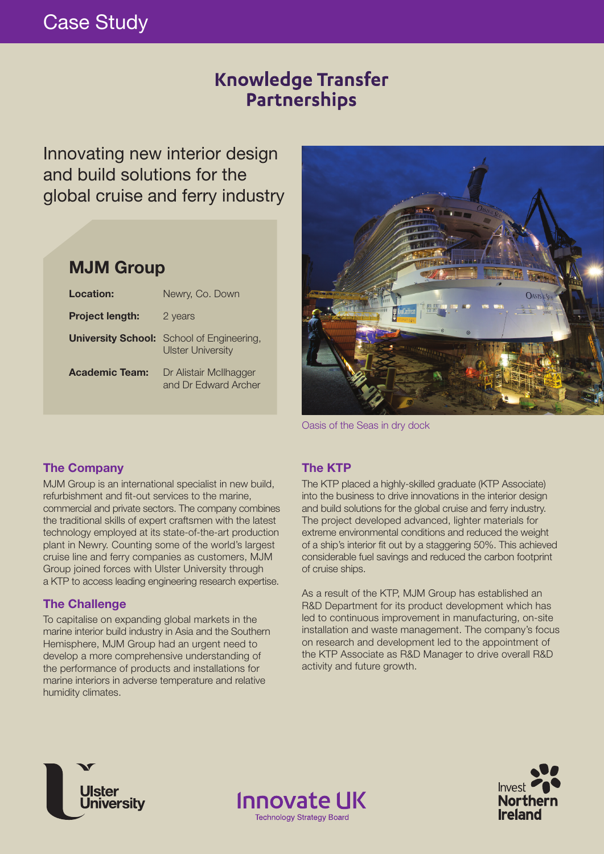# Case Study

## **Knowledge Transfer** Partnerships

Innovating new interior design and build solutions for the global cruise and ferry industry

### **MJM Group**

| Location:              | Newry, Co. Down                                                              |
|------------------------|------------------------------------------------------------------------------|
| <b>Project length:</b> | 2 years                                                                      |
|                        | <b>University School:</b> School of Engineering,<br><b>Ulster University</b> |
| <b>Academic Team:</b>  | Dr Alistair McIlhagger<br>and Dr Edward Archer                               |



Oasis of the Seas in dry dock

### **The Company**

MJM Group is an international specialist in new build, refurbishment and fit-out services to the marine, commercial and private sectors. The company combines the traditional skills of expert craftsmen with the latest technology employed at its state-of-the-art production plant in Newry. Counting some of the world's largest cruise line and ferry companies as customers, MJM Group joined forces with Ulster University through a KTP to access leading engineering research expertise.

### **The Challenge**

To capitalise on expanding global markets in the marine interior build industry in Asia and the Southern Hemisphere, MJM Group had an urgent need to develop a more comprehensive understanding of the performance of products and installations for marine interiors in adverse temperature and relative humidity climates.

### **The KTP**

**Innovate UK** 

**Technology Strategy Board** 

The KTP placed a highly-skilled graduate (KTP Associate) into the business to drive innovations in the interior design and build solutions for the global cruise and ferry industry. The project developed advanced, lighter materials for extreme environmental conditions and reduced the weight of a ship's interior fit out by a staggering 50%. This achieved considerable fuel savings and reduced the carbon footprint of cruise ships.

As a result of the KTP, MJM Group has established an R&D Department for its product development which has led to continuous improvement in manufacturing, on-site installation and waste management. The company's focus on research and development led to the appointment of the KTP Associate as R&D Manager to drive overall R&D activity and future growth.